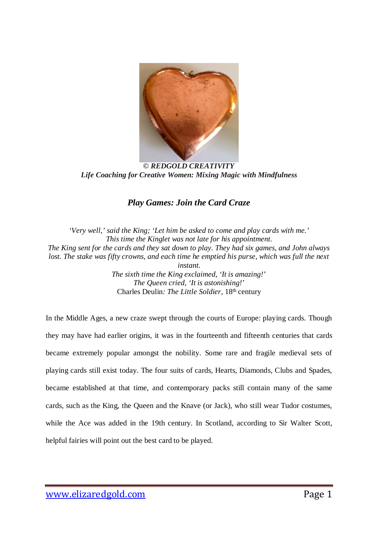

*© REDGOLD CREATIVITY Life Coaching for Creative Women: Mixing Magic with Mindfulness*

## *Play Games: Join the Card Craze*

*'Very well,' said the King; 'Let him be asked to come and play cards with me.' This time the Kinglet was not late for his appointment. The King sent for the cards and they sat down to play. They had six games, and John always lost. The stake was fifty crowns, and each time he emptied his purse, which was full the next instant. The sixth time the King exclaimed, 'It is amazing!' The Queen cried, 'It is astonishing!'* Charles Deulin: The Little Soldier, 18<sup>th</sup> century

In the Middle Ages, a new craze swept through the courts of Europe: playing cards. Though they may have had earlier origins, it was in the fourteenth and fifteenth centuries that cards became extremely popular amongst the nobility. Some rare and fragile medieval sets of playing cards still exist today. The four suits of cards, Hearts, Diamonds, Clubs and Spades, became established at that time, and contemporary packs still contain many of the same cards, such as the King, the Queen and the Knave (or Jack), who still wear Tudor costumes, while the Ace was added in the 19th century. In Scotland, according to Sir Walter Scott, helpful fairies will point out the best card to be played.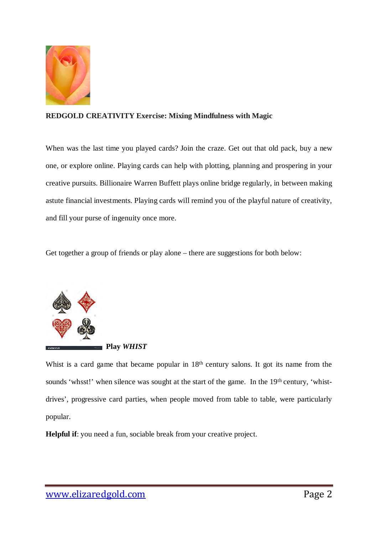

### **REDGOLD CREATIVITY Exercise: Mixing Mindfulness with Magic**

When was the last time you played cards? Join the craze. Get out that old pack, buy a new one, or explore online. Playing cards can help with plotting, planning and prospering in your creative pursuits. Billionaire Warren Buffett plays online bridge regularly, in between making astute financial investments. Playing cards will remind you of the playful nature of creativity, and fill your purse of ingenuity once more.

Get together a group of friends or play alone – there are suggestions for both below:



#### **Play** *WHIST*

Whist is a card game that became popular in 18<sup>th</sup> century salons. It got its name from the sounds 'whsst!' when silence was sought at the start of the game. In the 19<sup>th</sup> century, 'whistdrives', progressive card parties, when people moved from table to table, were particularly popular.

**Helpful if:** you need a fun, sociable break from your creative project.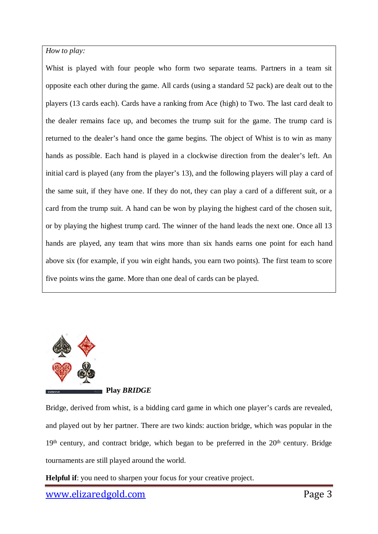*How to play:* 

Whist is played with four people who form two separate teams. Partners in a team sit opposite each other during the game. All cards (using a standard 52 pack) are dealt out to the players (13 cards each). Cards have a ranking from Ace (high) to Two. The last card dealt to the dealer remains face up, and becomes the trump suit for the game. The trump card is returned to the dealer's hand once the game begins. The object of Whist is to win as many hands as possible. Each hand is played in a clockwise direction from the dealer's left. An initial card is played (any from the player's 13), and the following players will play a card of the same suit, if they have one. If they do not, they can play a card of a different suit, or a card from the trump suit. A hand can be won by playing the highest card of the chosen suit, or by playing the highest trump card. The winner of the hand leads the next one. Once all 13 hands are played, any team that wins more than six hands earns one point for each hand above six (for example, if you win eight hands, you earn two points). The first team to score five points wins the game. More than one deal of cards can be played.



#### **Play** *BRIDGE*

Bridge, derived from whist, is a bidding card game in which one player's cards are revealed, and played out by her partner. There are two kinds: auction bridge, which was popular in the  $19<sup>th</sup>$  century, and contract bridge, which began to be preferred in the  $20<sup>th</sup>$  century. Bridge tournaments are still played around the world.

**Helpful if**: you need to sharpen your focus for your creative project.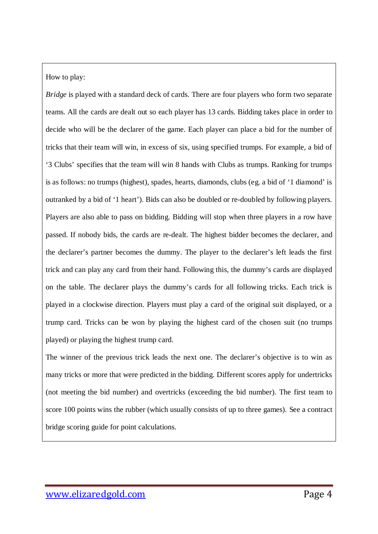How to play:

*Bridge* is played with a standard deck of cards. There are four players who form two separate teams. All the cards are dealt out so each player has 13 cards. Bidding takes place in order to decide who will be the declarer of the game. Each player can place a bid for the number of tricks that their team will win, in excess of six, using specified trumps. For example, a bid of '3 Clubs' specifies that the team will win 8 hands with Clubs as trumps. Ranking for trumps is as follows: no trumps (highest), spades, hearts, diamonds, clubs (eg. a bid of '1 diamond' is outranked by a bid of '1 heart'). Bids can also be doubled or re-doubled by following players. Players are also able to pass on bidding. Bidding will stop when three players in a row have passed. If nobody bids, the cards are re-dealt. The highest bidder becomes the declarer, and the declarer's partner becomes the dummy. The player to the declarer's left leads the first trick and can play any card from their hand. Following this, the dummy's cards are displayed on the table. The declarer plays the dummy's cards for all following tricks. Each trick is played in a clockwise direction. Players must play a card of the original suit displayed, or a trump card. Tricks can be won by playing the highest card of the chosen suit (no trumps played) or playing the highest trump card.

The winner of the previous trick leads the next one. The declarer's objective is to win as many tricks or more that were predicted in the bidding. Different scores apply for undertricks (not meeting the bid number) and overtricks (exceeding the bid number). The first team to score 100 points wins the rubber (which usually consists of up to three games). See a contract bridge scoring guide for point calculations.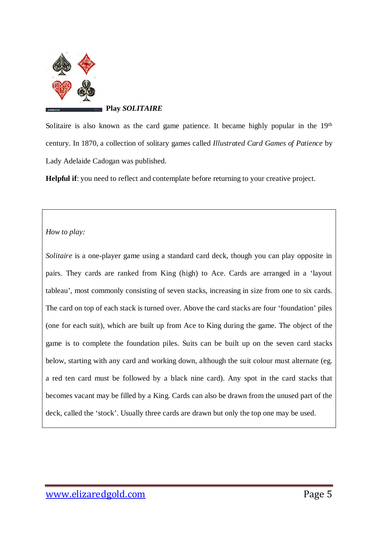

**Play** *SOLITAIRE*

Solitaire is also known as the card game patience. It became highly popular in the 19<sup>th</sup> century. In 1870, a collection of solitary games called *Illustrated Card Games of Patience* by Lady Adelaide Cadogan was published.

**Helpful if**: you need to reflect and contemplate before returning to your creative project.

*How to play:*

*Solitaire* is a one-player game using a standard card deck, though you can play opposite in pairs. They cards are ranked from King (high) to Ace. Cards are arranged in a 'layout tableau', most commonly consisting of seven stacks, increasing in size from one to six cards. The card on top of each stack is turned over. Above the card stacks are four 'foundation' piles (one for each suit), which are built up from Ace to King during the game. The object of the game is to complete the foundation piles. Suits can be built up on the seven card stacks below, starting with any card and working down, although the suit colour must alternate (eg. a red ten card must be followed by a black nine card). Any spot in the card stacks that becomes vacant may be filled by a King. Cards can also be drawn from the unused part of the deck, called the 'stock'. Usually three cards are drawn but only the top one may be used.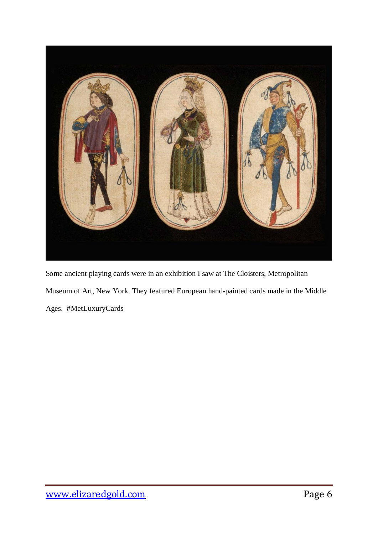

Some ancient playing cards were in an exhibition I saw at The Cloisters, Metropolitan Museum of Art, New York. They featured European hand-painted cards made in the Middle Ages. #MetLuxuryCards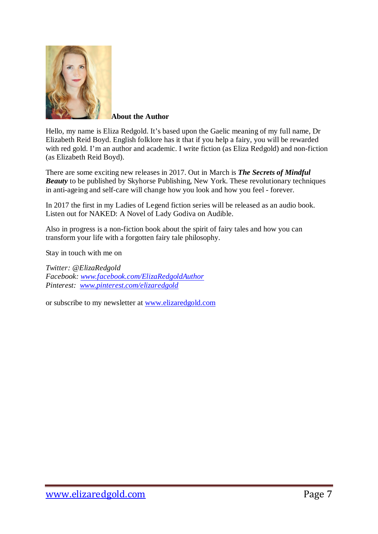

**About the Author**

Hello, my name is Eliza Redgold. It's based upon the Gaelic meaning of my full name, Dr Elizabeth Reid Boyd. English folklore has it that if you help a fairy, you will be rewarded with red gold. I'm an author and academic. I write fiction (as Eliza Redgold) and non-fiction (as Elizabeth Reid Boyd).

There are some exciting new releases in 2017. Out in March is *[The Secrets of Mindful](http://skyhorsepublishing.com/titles/12157-9781510717695-secrets-of-mindful-beauty)  [Beauty](http://skyhorsepublishing.com/titles/12157-9781510717695-secrets-of-mindful-beauty)* to be published by Skyhorse Publishing, New York. These revolutionary techniques in anti-ageing and self-care will change how you look and how you feel - forever.

In 2017 the first in my Ladies of Legend fiction series will be released as an audio book. Listen out for NAKED: A Novel of Lady Godiva on Audible.

Also in progress is a non-fiction book about the spirit of fairy tales and how you can transform your life with a forgotten fairy tale philosophy.

Stay in touch with me on

*Twitter: @ElizaRedgold Facebook: [www.facebook.com/ElizaRedgoldAuthor](http://www.facebook.com/ElizaRedgoldAuthor) Pinterest: [www.pinterest.com/elizaredgold](http://www.pinterest.com/elizaredgold)*

or subscribe to my newsletter at [www.elizaredgold.com](http://www.elizaredgold.com/)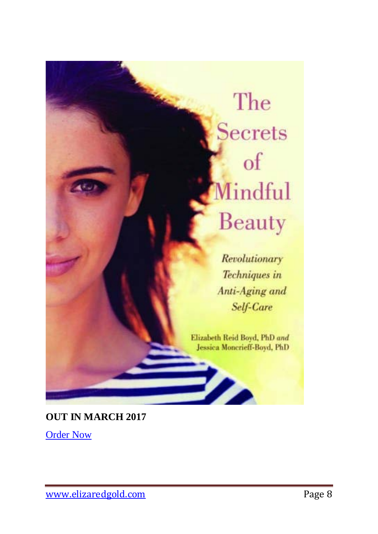# The **Secrets** of Mindful Beauty

Revolutionary Techniques in Anti-Aging and Self-Care

Elizabeth Reid Boyd, PhD and Jessica Moncrieff-Boyd, PhD

▶⊿

**OUT IN MARCH 2017**

**[Order Now](https://www.amazon.com/Secrets-Mindful-Beauty-Revolutionary-Techniques/dp/1510717692)**